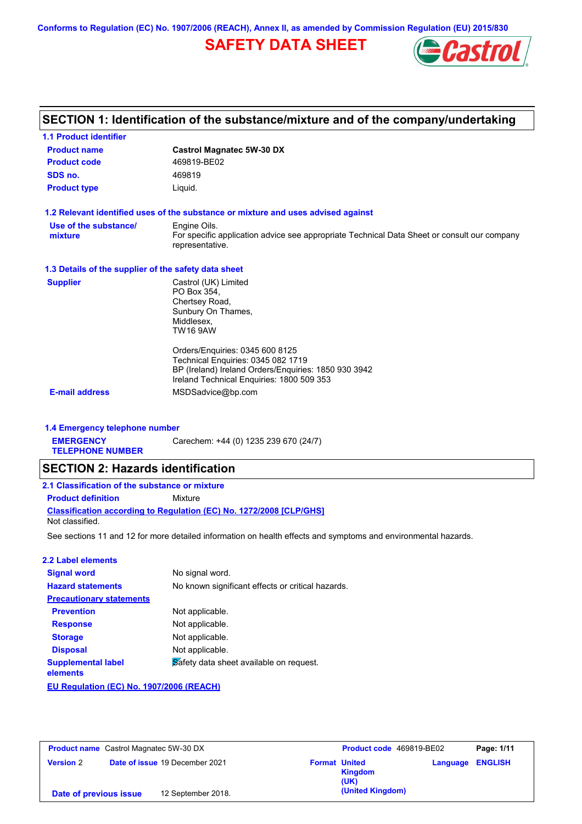**Conforms to Regulation (EC) No. 1907/2006 (REACH), Annex II, as amended by Commission Regulation (EU) 2015/830**

# **SAFETY DATA SHEET**



# **SECTION 1: Identification of the substance/mixture and of the company/undertaking**

| <b>1.1 Product identifier</b>                        |                                                                                                                |
|------------------------------------------------------|----------------------------------------------------------------------------------------------------------------|
| <b>Product name</b>                                  | <b>Castrol Magnatec 5W-30 DX</b>                                                                               |
| <b>Product code</b>                                  | 469819-BE02                                                                                                    |
| SDS no.                                              | 469819                                                                                                         |
| <b>Product type</b>                                  | Liquid.                                                                                                        |
|                                                      | 1.2 Relevant identified uses of the substance or mixture and uses advised against                              |
| Use of the substance/                                | Engine Oils.                                                                                                   |
| mixture                                              | For specific application advice see appropriate Technical Data Sheet or consult our company<br>representative. |
| 1.3 Details of the supplier of the safety data sheet |                                                                                                                |
| <b>Supplier</b>                                      | Castrol (UK) Limited                                                                                           |
|                                                      | PO Box 354,                                                                                                    |
|                                                      | Chertsey Road,                                                                                                 |
|                                                      | Sunbury On Thames,<br>Middlesex,                                                                               |
|                                                      | <b>TW16 9AW</b>                                                                                                |
|                                                      | Orders/Enquiries: 0345 600 8125                                                                                |
|                                                      | Technical Enquiries: 0345 082 1719                                                                             |
|                                                      | BP (Ireland) Ireland Orders/Enquiries: 1850 930 3942                                                           |
|                                                      | Ireland Technical Enquiries: 1800 509 353                                                                      |
| <b>E-mail address</b>                                | MSDSadvice@bp.com                                                                                              |
|                                                      |                                                                                                                |

### **1.4 Emergency telephone number**

**EMERGENCY**  Carechem: +44 (0) 1235 239 670 (24/7)

**TELEPHONE NUMBER**

## **SECTION 2: Hazards identification**

| 2.1 Classification of the substance or mixture |                                                                            |  |
|------------------------------------------------|----------------------------------------------------------------------------|--|
| <b>Product definition</b>                      | Mixture                                                                    |  |
|                                                | <b>Classification according to Regulation (EC) No. 1272/2008 ICLP/GHS1</b> |  |
| Not classified.                                |                                                                            |  |

See sections 11 and 12 for more detailed information on health effects and symptoms and environmental hazards.

#### **2.2 Label elements**

| <b>Signal word</b>                       | No signal word.                                   |
|------------------------------------------|---------------------------------------------------|
| <b>Hazard statements</b>                 | No known significant effects or critical hazards. |
| <b>Precautionary statements</b>          |                                                   |
| <b>Prevention</b>                        | Not applicable.                                   |
| <b>Response</b>                          | Not applicable.                                   |
| <b>Storage</b>                           | Not applicable.                                   |
| <b>Disposal</b>                          | Not applicable.                                   |
| <b>Supplemental label</b><br>elements    | Safety data sheet available on request.           |
| EU Regulation (EC) No. 1907/2006 (REACH) |                                                   |

| <b>Product name</b> Castrol Magnatec 5W-30 DX             |                    | Product code 469819-BE02 |                  | Page: 1/11              |  |
|-----------------------------------------------------------|--------------------|--------------------------|------------------|-------------------------|--|
| <b>Date of issue 19 December 2021</b><br><b>Version 2</b> |                    | <b>Format United</b>     | Kingdom<br>(UK)  | <b>Language ENGLISH</b> |  |
| Date of previous issue                                    | 12 September 2018. |                          | (United Kingdom) |                         |  |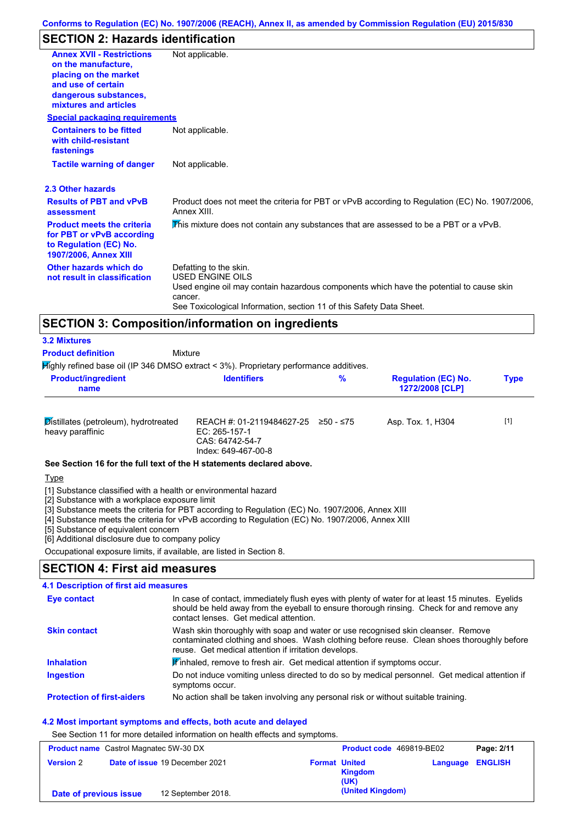# **SECTION 2: Hazards identification**

| <b>Annex XVII - Restrictions</b>                                                                                  | Not applicable.                                                                                               |
|-------------------------------------------------------------------------------------------------------------------|---------------------------------------------------------------------------------------------------------------|
| on the manufacture,                                                                                               |                                                                                                               |
| placing on the market<br>and use of certain                                                                       |                                                                                                               |
| dangerous substances,                                                                                             |                                                                                                               |
| mixtures and articles                                                                                             |                                                                                                               |
| <b>Special packaging requirements</b>                                                                             |                                                                                                               |
| <b>Containers to be fitted</b><br>with child-resistant<br>fastenings                                              | Not applicable.                                                                                               |
| <b>Tactile warning of danger</b>                                                                                  | Not applicable.                                                                                               |
| 2.3 Other hazards                                                                                                 |                                                                                                               |
| <b>Results of PBT and vPvB</b><br>assessment                                                                      | Product does not meet the criteria for PBT or vPvB according to Regulation (EC) No. 1907/2006,<br>Annex XIII. |
| <b>Product meets the criteria</b><br>for PBT or vPvB according<br>to Regulation (EC) No.<br>1907/2006, Annex XIII | This mixture does not contain any substances that are assessed to be a PBT or a vPvB.                         |
| Other hazards which do                                                                                            | Defatting to the skin.                                                                                        |
| not result in classification                                                                                      | <b>USED ENGINE OILS</b>                                                                                       |
|                                                                                                                   | Used engine oil may contain hazardous components which have the potential to cause skin<br>cancer.            |
|                                                                                                                   | See Toxicological Information, section 11 of this Safety Data Sheet.                                          |

| <b>3.2 Mixtures</b>                                                                       |                                                                                      |             |                                               |             |
|-------------------------------------------------------------------------------------------|--------------------------------------------------------------------------------------|-------------|-----------------------------------------------|-------------|
| <b>Product definition</b>                                                                 | Mixture                                                                              |             |                                               |             |
| $H$ ighly refined base oil (IP 346 DMSO extract < 3%). Proprietary performance additives. |                                                                                      |             |                                               |             |
| <b>Product/ingredient</b><br>name                                                         | <b>Identifiers</b>                                                                   | %           | <b>Regulation (EC) No.</b><br>1272/2008 [CLP] | <b>Type</b> |
| Distillates (petroleum), hydrotreated<br>heavy paraffinic                                 | REACH #: 01-2119484627-25<br>EC: 265-157-1<br>CAS: 64742-54-7<br>Index: 649-467-00-8 | $≥50 - ≤75$ | Asp. Tox. 1, H304                             | $[1]$       |
| See Section 16 for the full text of the H statements declared above.                      |                                                                                      |             |                                               |             |
| Type                                                                                      |                                                                                      |             |                                               |             |

[1] Substance classified with a health or environmental hazard

[2] Substance with a workplace exposure limit

[3] Substance meets the criteria for PBT according to Regulation (EC) No. 1907/2006, Annex XIII

[4] Substance meets the criteria for vPvB according to Regulation (EC) No. 1907/2006, Annex XIII

[5] Substance of equivalent concern

[6] Additional disclosure due to company policy

Occupational exposure limits, if available, are listed in Section 8.

## **SECTION 4: First aid measures**

### **4.1 Description of first aid measures**

| <b>Eye contact</b>                | In case of contact, immediately flush eyes with plenty of water for at least 15 minutes. Eyelids<br>should be held away from the eyeball to ensure thorough rinsing. Check for and remove any<br>contact lenses. Get medical attention. |  |
|-----------------------------------|-----------------------------------------------------------------------------------------------------------------------------------------------------------------------------------------------------------------------------------------|--|
| <b>Skin contact</b>               | Wash skin thoroughly with soap and water or use recognised skin cleanser. Remove<br>contaminated clothing and shoes. Wash clothing before reuse. Clean shoes thoroughly before<br>reuse. Get medical attention if irritation develops.  |  |
| <b>Inhalation</b>                 | <b>If</b> inhaled, remove to fresh air. Get medical attention if symptoms occur.                                                                                                                                                        |  |
| <b>Ingestion</b>                  | Do not induce vomiting unless directed to do so by medical personnel. Get medical attention if<br>symptoms occur.                                                                                                                       |  |
| <b>Protection of first-aiders</b> | No action shall be taken involving any personal risk or without suitable training.                                                                                                                                                      |  |

### **4.2 Most important symptoms and effects, both acute and delayed**

See Section 11 for more detailed information on health effects and symptoms.

| <b>Product name</b> Castrol Magnatec 5W-30 DX |  | Product code 469819-BE02              |                      | Page: 2/11       |                         |  |
|-----------------------------------------------|--|---------------------------------------|----------------------|------------------|-------------------------|--|
| <b>Version 2</b>                              |  | <b>Date of issue 19 December 2021</b> | <b>Format United</b> | Kingdom<br>(UK)  | <b>Language ENGLISH</b> |  |
| Date of previous issue                        |  | 12 September 2018.                    |                      | (United Kingdom) |                         |  |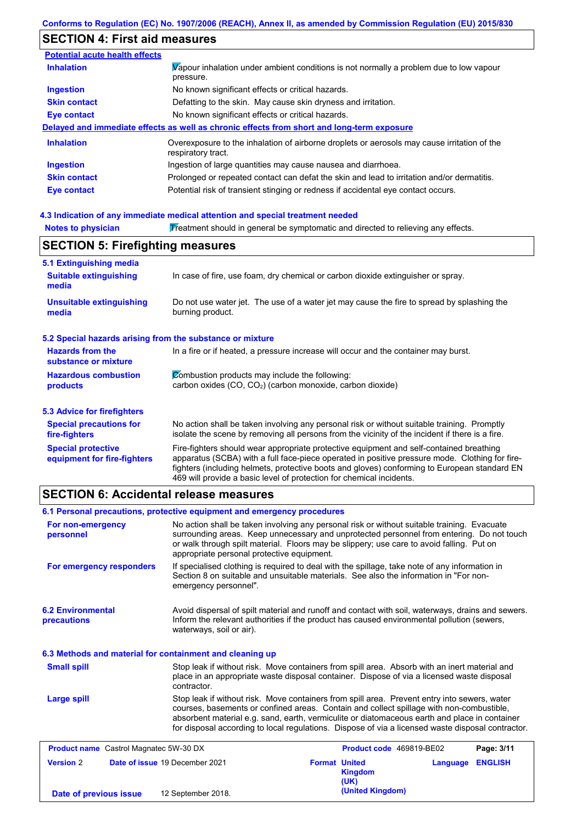# **SECTION 4: First aid measures**

| <b>Potential acute health effects</b> |                                                                                                                   |
|---------------------------------------|-------------------------------------------------------------------------------------------------------------------|
| <b>Inhalation</b>                     | Vapour inhalation under ambient conditions is not normally a problem due to low vapour<br>pressure.               |
| <b>Ingestion</b>                      | No known significant effects or critical hazards.                                                                 |
| <b>Skin contact</b>                   | Defatting to the skin. May cause skin dryness and irritation.                                                     |
| Eye contact                           | No known significant effects or critical hazards.                                                                 |
|                                       | Delayed and immediate effects as well as chronic effects from short and long-term exposure                        |
| <b>Inhalation</b>                     | Overexposure to the inhalation of airborne droplets or aerosols may cause irritation of the<br>respiratory tract. |
| Ingestion                             | Ingestion of large quantities may cause nausea and diarrhoea.                                                     |
| <b>Skin contact</b>                   | Prolonged or repeated contact can defat the skin and lead to irritation and/or dermatitis.                        |
| Eye contact                           | Potential risk of transient stinging or redness if accidental eye contact occurs.                                 |

### **4.3 Indication of any immediate medical attention and special treatment needed**

| <b>Notes to physician</b>                                                          | Treatment should in general be symptomatic and directed to relieving any effects.                                                                                                                                                                                                                                                                                 |  |  |  |
|------------------------------------------------------------------------------------|-------------------------------------------------------------------------------------------------------------------------------------------------------------------------------------------------------------------------------------------------------------------------------------------------------------------------------------------------------------------|--|--|--|
| <b>SECTION 5: Firefighting measures</b>                                            |                                                                                                                                                                                                                                                                                                                                                                   |  |  |  |
| 5.1 Extinguishing media                                                            |                                                                                                                                                                                                                                                                                                                                                                   |  |  |  |
| <b>Suitable extinguishing</b><br>media                                             | In case of fire, use foam, dry chemical or carbon dioxide extinguisher or spray.                                                                                                                                                                                                                                                                                  |  |  |  |
| <b>Unsuitable extinguishing</b><br>media                                           | Do not use water jet. The use of a water jet may cause the fire to spread by splashing the<br>burning product.                                                                                                                                                                                                                                                    |  |  |  |
| 5.2 Special hazards arising from the substance or mixture                          |                                                                                                                                                                                                                                                                                                                                                                   |  |  |  |
| <b>Hazards from the</b><br>substance or mixture                                    | In a fire or if heated, a pressure increase will occur and the container may burst.                                                                                                                                                                                                                                                                               |  |  |  |
| <b>Hazardous combustion</b>                                                        | Combustion products may include the following:                                                                                                                                                                                                                                                                                                                    |  |  |  |
| carbon oxides (CO, CO <sub>2</sub> ) (carbon monoxide, carbon dioxide)<br>products |                                                                                                                                                                                                                                                                                                                                                                   |  |  |  |
| 5.3 Advice for firefighters                                                        |                                                                                                                                                                                                                                                                                                                                                                   |  |  |  |
| <b>Special precautions for</b><br>fire-fighters                                    | No action shall be taken involving any personal risk or without suitable training. Promptly<br>isolate the scene by removing all persons from the vicinity of the incident if there is a fire.                                                                                                                                                                    |  |  |  |
| <b>Special protective</b><br>equipment for fire-fighters                           | Fire-fighters should wear appropriate protective equipment and self-contained breathing<br>apparatus (SCBA) with a full face-piece operated in positive pressure mode. Clothing for fire-<br>fighters (including helmets, protective boots and gloves) conforming to European standard EN<br>469 will provide a basic level of protection for chemical incidents. |  |  |  |

# **SECTION 6: Accidental release measures**

**Date of previous issue** 12 September 2018.

| 6.1 Personal precautions, protective equipment and emergency procedures |                                            |                                                                                                                                                                                                                                                                                                                                                                                                |          |                |
|-------------------------------------------------------------------------|--------------------------------------------|------------------------------------------------------------------------------------------------------------------------------------------------------------------------------------------------------------------------------------------------------------------------------------------------------------------------------------------------------------------------------------------------|----------|----------------|
| For non-emergency<br>personnel                                          | appropriate personal protective equipment. | No action shall be taken involving any personal risk or without suitable training. Evacuate<br>surrounding areas. Keep unnecessary and unprotected personnel from entering. Do not touch<br>or walk through spilt material. Floors may be slippery; use care to avoid falling. Put on                                                                                                          |          |                |
| For emergency responders                                                | emergency personnel".                      | If specialised clothing is required to deal with the spillage, take note of any information in<br>Section 8 on suitable and unsuitable materials. See also the information in "For non-                                                                                                                                                                                                        |          |                |
| <b>6.2 Environmental</b><br>precautions                                 | waterways, soil or air).                   | Avoid dispersal of spilt material and runoff and contact with soil, waterways, drains and sewers.<br>Inform the relevant authorities if the product has caused environmental pollution (sewers,                                                                                                                                                                                                |          |                |
| 6.3 Methods and material for containment and cleaning up                |                                            |                                                                                                                                                                                                                                                                                                                                                                                                |          |                |
| <b>Small spill</b>                                                      | contractor.                                | Stop leak if without risk. Move containers from spill area. Absorb with an inert material and<br>place in an appropriate waste disposal container. Dispose of via a licensed waste disposal                                                                                                                                                                                                    |          |                |
| <b>Large spill</b>                                                      |                                            | Stop leak if without risk. Move containers from spill area. Prevent entry into sewers, water<br>courses, basements or confined areas. Contain and collect spillage with non-combustible,<br>absorbent material e.g. sand, earth, vermiculite or diatomaceous earth and place in container<br>for disposal according to local regulations. Dispose of via a licensed waste disposal contractor. |          |                |
| <b>Product name</b> Castrol Magnatec 5W-30 DX                           |                                            | Product code 469819-BE02                                                                                                                                                                                                                                                                                                                                                                       |          | Page: 3/11     |
| <b>Version 2</b>                                                        | Date of issue 19 December 2021             | <b>Format United</b><br><b>Kingdom</b><br>(UK)                                                                                                                                                                                                                                                                                                                                                 | Language | <b>ENGLISH</b> |
| Date of previous issue                                                  | 12 Sentember 2018                          | (United Kingdom)                                                                                                                                                                                                                                                                                                                                                                               |          |                |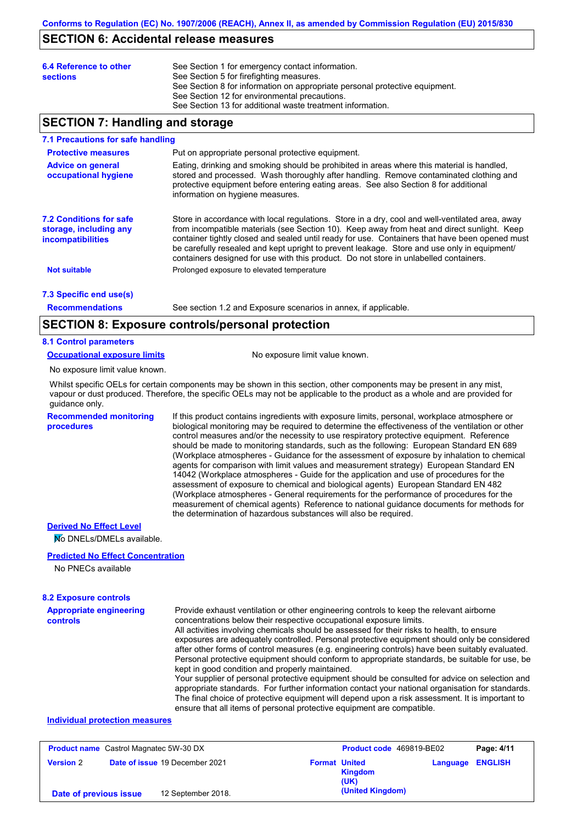## **SECTION 6: Accidental release measures**

| 6.4 Reference to other<br><b>sections</b> | See Section 1 for emergency contact information.<br>See Section 5 for firefighting measures.<br>See Section 8 for information on appropriate personal protective equipment.<br>See Section 12 for environmental precautions. |
|-------------------------------------------|------------------------------------------------------------------------------------------------------------------------------------------------------------------------------------------------------------------------------|
|                                           | See Section 13 for additional waste treatment information.                                                                                                                                                                   |

## **SECTION 7: Handling and storage**

#### **7.1 Precautions for safe handling**

| <b>Protective measures</b>                                                           | Put on appropriate personal protective equipment.                                                                                                                                                                                                                                                                                                                                                                                                                                        |
|--------------------------------------------------------------------------------------|------------------------------------------------------------------------------------------------------------------------------------------------------------------------------------------------------------------------------------------------------------------------------------------------------------------------------------------------------------------------------------------------------------------------------------------------------------------------------------------|
| <b>Advice on general</b><br>occupational hygiene                                     | Eating, drinking and smoking should be prohibited in areas where this material is handled,<br>stored and processed. Wash thoroughly after handling. Remove contaminated clothing and<br>protective equipment before entering eating areas. See also Section 8 for additional<br>information on hygiene measures.                                                                                                                                                                         |
| <b>7.2 Conditions for safe</b><br>storage, including any<br><i>incompatibilities</i> | Store in accordance with local requlations. Store in a dry, cool and well-ventilated area, away<br>from incompatible materials (see Section 10). Keep away from heat and direct sunlight. Keep<br>container tightly closed and sealed until ready for use. Containers that have been opened must<br>be carefully resealed and kept upright to prevent leakage. Store and use only in equipment/<br>containers designed for use with this product. Do not store in unlabelled containers. |
| <b>Not suitable</b>                                                                  | Prolonged exposure to elevated temperature                                                                                                                                                                                                                                                                                                                                                                                                                                               |
| 7.3 Specific end use(s)                                                              |                                                                                                                                                                                                                                                                                                                                                                                                                                                                                          |

**Recommendations**

See section 1.2 and Exposure scenarios in annex, if applicable.

## **SECTION 8: Exposure controls/personal protection**

### **8.1 Control parameters**

**Occupational exposure limits** No exposure limit value known.

No exposure limit value known.

Whilst specific OELs for certain components may be shown in this section, other components may be present in any mist, vapour or dust produced. Therefore, the specific OELs may not be applicable to the product as a whole and are provided for guidance only.

**Recommended monitoring procedures**

If this product contains ingredients with exposure limits, personal, workplace atmosphere or biological monitoring may be required to determine the effectiveness of the ventilation or other control measures and/or the necessity to use respiratory protective equipment. Reference should be made to monitoring standards, such as the following: European Standard EN 689 (Workplace atmospheres - Guidance for the assessment of exposure by inhalation to chemical agents for comparison with limit values and measurement strategy) European Standard EN 14042 (Workplace atmospheres - Guide for the application and use of procedures for the assessment of exposure to chemical and biological agents) European Standard EN 482 (Workplace atmospheres - General requirements for the performance of procedures for the measurement of chemical agents) Reference to national guidance documents for methods for the determination of hazardous substances will also be required.

### **Derived No Effect Level**

No DNELs/DMELs available.

### **Predicted No Effect Concentration**

No PNECs available

#### **8.2 Exposure controls**

| Provide exhaust ventilation or other engineering controls to keep the relevant airborne                                                                                                            |
|----------------------------------------------------------------------------------------------------------------------------------------------------------------------------------------------------|
| concentrations below their respective occupational exposure limits.                                                                                                                                |
| All activities involving chemicals should be assessed for their risks to health, to ensure                                                                                                         |
| exposures are adequately controlled. Personal protective equipment should only be considered                                                                                                       |
| after other forms of control measures (e.g. engineering controls) have been suitably evaluated.                                                                                                    |
| Personal protective equipment should conform to appropriate standards, be suitable for use, be                                                                                                     |
| kept in good condition and properly maintained.                                                                                                                                                    |
| Your supplier of personal protective equipment should be consulted for advice on selection and<br>appropriate standards. For further information contact your national organisation for standards. |
|                                                                                                                                                                                                    |

The final choice of protective equipment will depend upon a risk assessment. It is important to ensure that all items of personal protective equipment are compatible.

### **Individual protection measures**

| <b>Product name</b> Castrol Magnatec 5W-30 DX |                                       |                      | Product code 469819-BE02 |                         | Page: 4/11 |
|-----------------------------------------------|---------------------------------------|----------------------|--------------------------|-------------------------|------------|
| <b>Version 2</b>                              | <b>Date of issue 19 December 2021</b> | <b>Format United</b> | <b>Kingdom</b><br>(UK)   | <b>Language ENGLISH</b> |            |
| Date of previous issue                        | 12 September 2018.                    |                      | (United Kingdom)         |                         |            |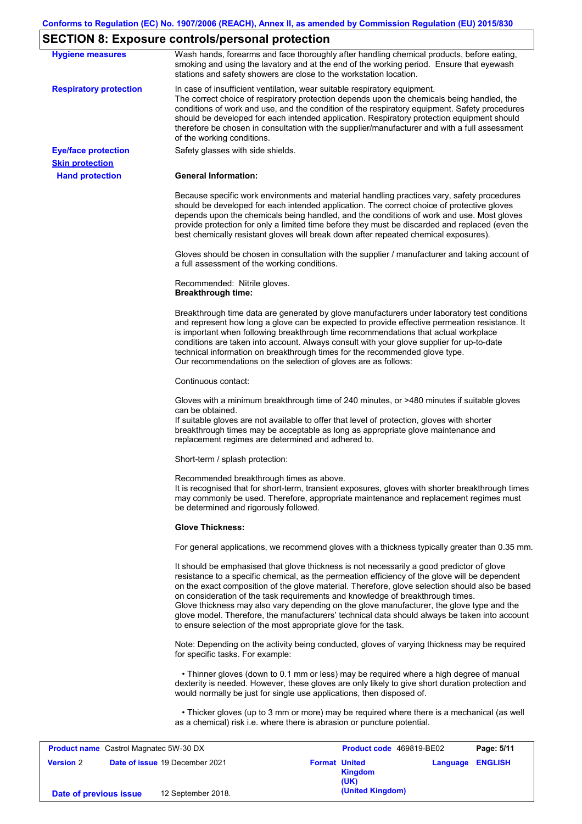## **SECTION 8: Exposure controls/personal protection**

| <b>Hygiene measures</b>                              | Wash hands, forearms and face thoroughly after handling chemical products, before eating,<br>smoking and using the lavatory and at the end of the working period. Ensure that eyewash<br>stations and safety showers are close to the workstation location.                                                                                                                                                                                                                                                                                                                                                                                       |
|------------------------------------------------------|---------------------------------------------------------------------------------------------------------------------------------------------------------------------------------------------------------------------------------------------------------------------------------------------------------------------------------------------------------------------------------------------------------------------------------------------------------------------------------------------------------------------------------------------------------------------------------------------------------------------------------------------------|
| <b>Respiratory protection</b>                        | In case of insufficient ventilation, wear suitable respiratory equipment.<br>The correct choice of respiratory protection depends upon the chemicals being handled, the<br>conditions of work and use, and the condition of the respiratory equipment. Safety procedures<br>should be developed for each intended application. Respiratory protection equipment should<br>therefore be chosen in consultation with the supplier/manufacturer and with a full assessment<br>of the working conditions.                                                                                                                                             |
| <b>Eye/face protection</b><br><b>Skin protection</b> | Safety glasses with side shields.                                                                                                                                                                                                                                                                                                                                                                                                                                                                                                                                                                                                                 |
| <b>Hand protection</b>                               | <b>General Information:</b>                                                                                                                                                                                                                                                                                                                                                                                                                                                                                                                                                                                                                       |
|                                                      | Because specific work environments and material handling practices vary, safety procedures<br>should be developed for each intended application. The correct choice of protective gloves<br>depends upon the chemicals being handled, and the conditions of work and use. Most gloves<br>provide protection for only a limited time before they must be discarded and replaced (even the<br>best chemically resistant gloves will break down after repeated chemical exposures).                                                                                                                                                                  |
|                                                      | Gloves should be chosen in consultation with the supplier / manufacturer and taking account of<br>a full assessment of the working conditions.                                                                                                                                                                                                                                                                                                                                                                                                                                                                                                    |
|                                                      | Recommended: Nitrile gloves.<br><b>Breakthrough time:</b>                                                                                                                                                                                                                                                                                                                                                                                                                                                                                                                                                                                         |
|                                                      | Breakthrough time data are generated by glove manufacturers under laboratory test conditions<br>and represent how long a glove can be expected to provide effective permeation resistance. It<br>is important when following breakthrough time recommendations that actual workplace<br>conditions are taken into account. Always consult with your glove supplier for up-to-date<br>technical information on breakthrough times for the recommended glove type.<br>Our recommendations on the selection of gloves are as follows:                                                                                                                |
|                                                      | Continuous contact:                                                                                                                                                                                                                                                                                                                                                                                                                                                                                                                                                                                                                               |
|                                                      | Gloves with a minimum breakthrough time of 240 minutes, or >480 minutes if suitable gloves<br>can be obtained.<br>If suitable gloves are not available to offer that level of protection, gloves with shorter<br>breakthrough times may be acceptable as long as appropriate glove maintenance and<br>replacement regimes are determined and adhered to.                                                                                                                                                                                                                                                                                          |
|                                                      | Short-term / splash protection:                                                                                                                                                                                                                                                                                                                                                                                                                                                                                                                                                                                                                   |
|                                                      | Recommended breakthrough times as above.<br>It is recognised that for short-term, transient exposures, gloves with shorter breakthrough times<br>may commonly be used. Therefore, appropriate maintenance and replacement regimes must<br>be determined and rigorously followed.                                                                                                                                                                                                                                                                                                                                                                  |
|                                                      | <b>Glove Thickness:</b>                                                                                                                                                                                                                                                                                                                                                                                                                                                                                                                                                                                                                           |
|                                                      | For general applications, we recommend gloves with a thickness typically greater than 0.35 mm.                                                                                                                                                                                                                                                                                                                                                                                                                                                                                                                                                    |
|                                                      | It should be emphasised that glove thickness is not necessarily a good predictor of glove<br>resistance to a specific chemical, as the permeation efficiency of the glove will be dependent<br>on the exact composition of the glove material. Therefore, glove selection should also be based<br>on consideration of the task requirements and knowledge of breakthrough times.<br>Glove thickness may also vary depending on the glove manufacturer, the glove type and the<br>glove model. Therefore, the manufacturers' technical data should always be taken into account<br>to ensure selection of the most appropriate glove for the task. |
|                                                      | Note: Depending on the activity being conducted, gloves of varying thickness may be required<br>for specific tasks. For example:                                                                                                                                                                                                                                                                                                                                                                                                                                                                                                                  |
|                                                      | • Thinner gloves (down to 0.1 mm or less) may be required where a high degree of manual<br>dexterity is needed. However, these gloves are only likely to give short duration protection and<br>would normally be just for single use applications, then disposed of.                                                                                                                                                                                                                                                                                                                                                                              |
|                                                      |                                                                                                                                                                                                                                                                                                                                                                                                                                                                                                                                                                                                                                                   |

| <b>Product name</b> Castrol Magnatec 5W-30 DX |  |                                | Product code 469819-BE02 |                                         | Page: 5/11              |  |
|-----------------------------------------------|--|--------------------------------|--------------------------|-----------------------------------------|-------------------------|--|
| <b>Version 2</b>                              |  | Date of issue 19 December 2021 |                          | <b>Format United</b><br>Kingdom<br>(UK) | <b>Language ENGLISH</b> |  |
| Date of previous issue                        |  | 12 September 2018.             |                          | (United Kingdom)                        |                         |  |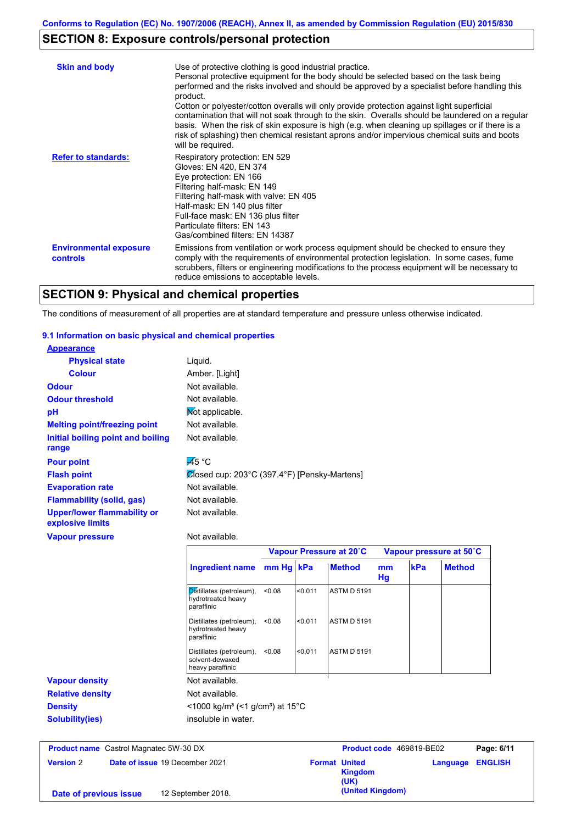# **SECTION 8: Exposure controls/personal protection**

| <b>Skin and body</b>                             | Use of protective clothing is good industrial practice.<br>Personal protective equipment for the body should be selected based on the task being<br>performed and the risks involved and should be approved by a specialist before handling this<br>product.<br>Cotton or polyester/cotton overalls will only provide protection against light superficial<br>contamination that will not soak through to the skin. Overalls should be laundered on a regular<br>basis. When the risk of skin exposure is high (e.g. when cleaning up spillages or if there is a<br>risk of splashing) then chemical resistant aprons and/or impervious chemical suits and boots<br>will be required. |
|--------------------------------------------------|---------------------------------------------------------------------------------------------------------------------------------------------------------------------------------------------------------------------------------------------------------------------------------------------------------------------------------------------------------------------------------------------------------------------------------------------------------------------------------------------------------------------------------------------------------------------------------------------------------------------------------------------------------------------------------------|
| <b>Refer to standards:</b>                       | Respiratory protection: EN 529<br>Gloves: EN 420, EN 374<br>Eye protection: EN 166<br>Filtering half-mask: EN 149<br>Filtering half-mask with valve: EN 405<br>Half-mask: EN 140 plus filter<br>Full-face mask: EN 136 plus filter<br>Particulate filters: EN 143<br>Gas/combined filters: EN 14387                                                                                                                                                                                                                                                                                                                                                                                   |
| <b>Environmental exposure</b><br><b>controls</b> | Emissions from ventilation or work process equipment should be checked to ensure they<br>comply with the requirements of environmental protection legislation. In some cases, fume<br>scrubbers, filters or engineering modifications to the process equipment will be necessary to<br>reduce emissions to acceptable levels.                                                                                                                                                                                                                                                                                                                                                         |

# **SECTION 9: Physical and chemical properties**

The conditions of measurement of all properties are at standard temperature and pressure unless otherwise indicated.

### **9.1 Information on basic physical and chemical properties**

| <b>Appearance</b>                                      |                                              |           |                         |          |     |                         |
|--------------------------------------------------------|----------------------------------------------|-----------|-------------------------|----------|-----|-------------------------|
| <b>Physical state</b>                                  | Liquid.                                      |           |                         |          |     |                         |
| <b>Colour</b>                                          | Amber. [Light]                               |           |                         |          |     |                         |
| <b>Odour</b>                                           | Not available.                               |           |                         |          |     |                         |
| <b>Odour threshold</b>                                 | Not available.                               |           |                         |          |     |                         |
| pH                                                     | Mot applicable.                              |           |                         |          |     |                         |
| <b>Melting point/freezing point</b>                    | Not available.                               |           |                         |          |     |                         |
| Initial boiling point and boiling<br>range             | Not available.                               |           |                         |          |     |                         |
| <b>Pour point</b>                                      | $\overline{A}5^{\circ}C$                     |           |                         |          |     |                         |
| <b>Flash point</b>                                     | Ølosed cup: 203°C (397.4°F) [Pensky-Martens] |           |                         |          |     |                         |
| <b>Evaporation rate</b>                                | Not available.                               |           |                         |          |     |                         |
| <b>Flammability (solid, gas)</b>                       | Not available.                               |           |                         |          |     |                         |
| <b>Upper/lower flammability or</b><br>explosive limits | Not available.                               |           |                         |          |     |                         |
| <b>Vapour pressure</b>                                 | Not available.                               |           |                         |          |     |                         |
|                                                        |                                              |           | Vapour Pressure at 20°C |          |     | Vapour pressure at 50°C |
|                                                        | <b>Ingredient name</b>                       | mm Hg kPa | <b>Method</b>           | mm<br>Hg | kPa | <b>Method</b>           |

|                         |                                                                           |         | Hg                 |  |
|-------------------------|---------------------------------------------------------------------------|---------|--------------------|--|
|                         | Distillates (petroleum),<br>< 0.08<br>hydrotreated heavy<br>paraffinic    | < 0.011 | <b>ASTM D 5191</b> |  |
|                         | Distillates (petroleum),<br>< 0.08<br>hydrotreated heavy<br>paraffinic    | < 0.011 | <b>ASTM D 5191</b> |  |
|                         | Distillates (petroleum),<br>< 0.08<br>solvent-dewaxed<br>heavy paraffinic | < 0.011 | <b>ASTM D 5191</b> |  |
| <b>Vapour density</b>   | Not available.                                                            |         |                    |  |
| <b>Relative density</b> | Not available.                                                            |         |                    |  |
| <b>Density</b>          | <1000 kg/m <sup>3</sup> (<1 g/cm <sup>3</sup> ) at 15 <sup>°</sup> C      |         |                    |  |
| <b>Solubility(ies)</b>  | insoluble in water.                                                       |         |                    |  |
|                         |                                                                           |         |                    |  |

| <b>Product name</b> Castrol Magnatec 5W-30 DX |  |                                       | <b>Product code</b> 469819-BE02 |                                         | Page: 6/11              |  |
|-----------------------------------------------|--|---------------------------------------|---------------------------------|-----------------------------------------|-------------------------|--|
| <b>Version 2</b>                              |  | <b>Date of issue 19 December 2021</b> |                                 | <b>Format United</b><br>Kingdom<br>(UK) | <b>Language ENGLISH</b> |  |
| Date of previous issue                        |  | 12 September 2018.                    |                                 | (United Kingdom)                        |                         |  |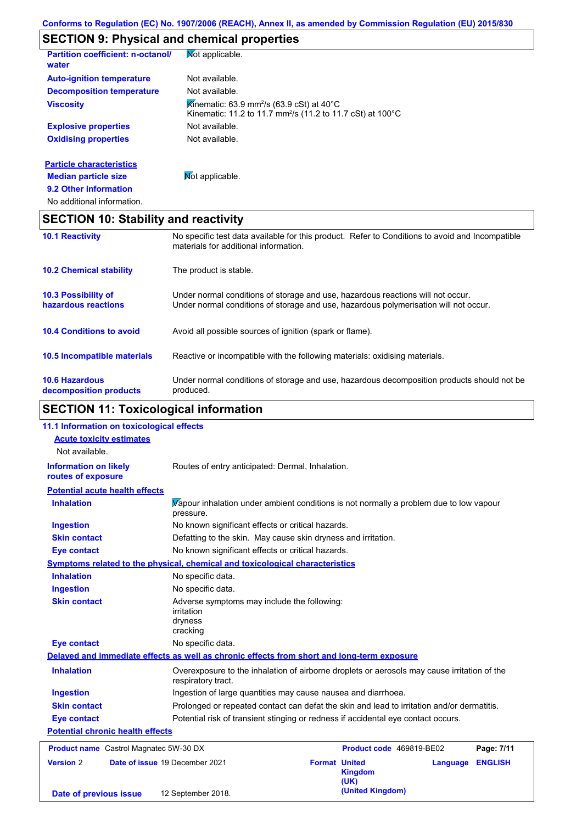# **SECTION 9: Physical and chemical properties**

| <b>Partition coefficient: n-octanol/</b><br>water | Mot applicable.                                                                                                                              |
|---------------------------------------------------|----------------------------------------------------------------------------------------------------------------------------------------------|
| <b>Auto-ignition temperature</b>                  | Not available.                                                                                                                               |
| <b>Decomposition temperature</b>                  | Not available.                                                                                                                               |
| <b>Viscosity</b>                                  | Kinematic: 63.9 mm <sup>2</sup> /s (63.9 cSt) at 40 <sup>°</sup> C<br>Kinematic: 11.2 to 11.7 mm <sup>2</sup> /s (11.2 to 11.7 cSt) at 100°C |
| <b>Explosive properties</b>                       | Not available.                                                                                                                               |
| <b>Oxidising properties</b>                       | Not available.                                                                                                                               |
| <b>Particle characteristics</b>                   |                                                                                                                                              |
| <b>Median particle size</b>                       | Mot applicable.                                                                                                                              |
| 9.2 Other information                             |                                                                                                                                              |
| No additional information.                        |                                                                                                                                              |

# **SECTION 10: Stability and reactivity**

| <b>10.1 Reactivity</b>                            | No specific test data available for this product. Refer to Conditions to avoid and Incompatible<br>materials for additional information.                                |
|---------------------------------------------------|-------------------------------------------------------------------------------------------------------------------------------------------------------------------------|
| <b>10.2 Chemical stability</b>                    | The product is stable.                                                                                                                                                  |
| <b>10.3 Possibility of</b><br>hazardous reactions | Under normal conditions of storage and use, hazardous reactions will not occur.<br>Under normal conditions of storage and use, hazardous polymerisation will not occur. |
| <b>10.4 Conditions to avoid</b>                   | Avoid all possible sources of ignition (spark or flame).                                                                                                                |
| <b>10.5 Incompatible materials</b>                | Reactive or incompatible with the following materials: oxidising materials.                                                                                             |
| <b>10.6 Hazardous</b><br>decomposition products   | Under normal conditions of storage and use, hazardous decomposition products should not be<br>produced.                                                                 |

# **SECTION 11: Toxicological information**

| 11.1 Information on toxicological effects          |                                                                                                                   |                                                |          |                |
|----------------------------------------------------|-------------------------------------------------------------------------------------------------------------------|------------------------------------------------|----------|----------------|
| <b>Acute toxicity estimates</b><br>Not available.  |                                                                                                                   |                                                |          |                |
| <b>Information on likely</b><br>routes of exposure | Routes of entry anticipated: Dermal, Inhalation.                                                                  |                                                |          |                |
| <b>Potential acute health effects</b>              |                                                                                                                   |                                                |          |                |
| <b>Inhalation</b>                                  | Vapour inhalation under ambient conditions is not normally a problem due to low vapour<br>pressure.               |                                                |          |                |
| <b>Ingestion</b>                                   | No known significant effects or critical hazards.                                                                 |                                                |          |                |
| <b>Skin contact</b>                                | Defatting to the skin. May cause skin dryness and irritation.                                                     |                                                |          |                |
| <b>Eye contact</b>                                 | No known significant effects or critical hazards.                                                                 |                                                |          |                |
|                                                    | <b>Symptoms related to the physical, chemical and toxicological characteristics</b>                               |                                                |          |                |
| <b>Inhalation</b>                                  | No specific data.                                                                                                 |                                                |          |                |
| <b>Ingestion</b>                                   | No specific data.                                                                                                 |                                                |          |                |
| <b>Skin contact</b>                                | Adverse symptoms may include the following:<br><i>irritation</i><br>dryness<br>cracking                           |                                                |          |                |
| <b>Eye contact</b>                                 | No specific data.                                                                                                 |                                                |          |                |
|                                                    | Delayed and immediate effects as well as chronic effects from short and long-term exposure                        |                                                |          |                |
| <b>Inhalation</b>                                  | Overexposure to the inhalation of airborne droplets or aerosols may cause irritation of the<br>respiratory tract. |                                                |          |                |
| <b>Ingestion</b>                                   | Ingestion of large quantities may cause nausea and diarrhoea.                                                     |                                                |          |                |
| <b>Skin contact</b>                                | Prolonged or repeated contact can defat the skin and lead to irritation and/or dermatitis.                        |                                                |          |                |
| <b>Eye contact</b>                                 | Potential risk of transient stinging or redness if accidental eye contact occurs.                                 |                                                |          |                |
| <b>Potential chronic health effects</b>            |                                                                                                                   |                                                |          |                |
| <b>Product name</b> Castrol Magnatec 5W-30 DX      |                                                                                                                   | Product code 469819-BE02                       |          | Page: 7/11     |
| <b>Version 2</b>                                   | Date of issue 19 December 2021                                                                                    | <b>Format United</b><br><b>Kingdom</b><br>(UK) | Language | <b>ENGLISH</b> |
| Date of previous issue                             | 12 September 2018.                                                                                                | (United Kingdom)                               |          |                |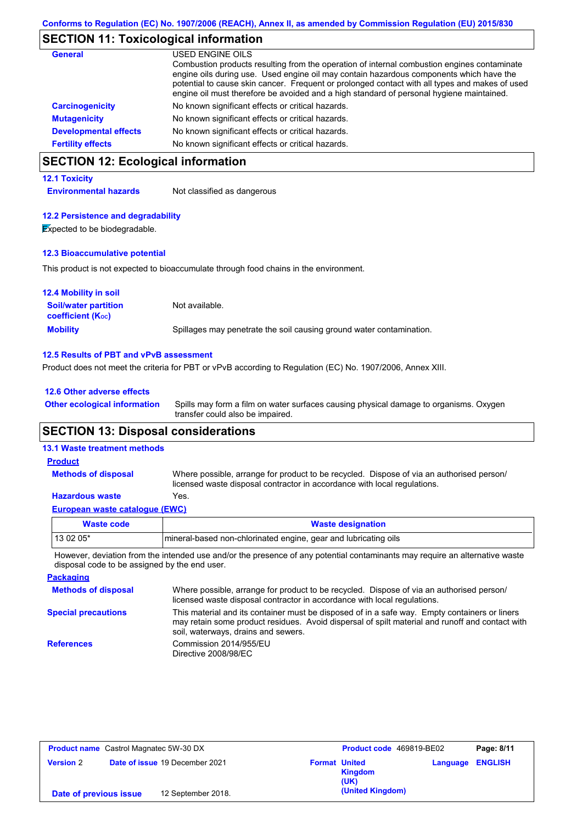# **SECTION 11: Toxicological information**

| <b>General</b>               | USED ENGINE OILS<br>Combustion products resulting from the operation of internal combustion engines contaminate<br>engine oils during use. Used engine oil may contain hazardous components which have the<br>potential to cause skin cancer. Frequent or prolonged contact with all types and makes of used<br>engine oil must therefore be avoided and a high standard of personal hygiene maintained. |
|------------------------------|----------------------------------------------------------------------------------------------------------------------------------------------------------------------------------------------------------------------------------------------------------------------------------------------------------------------------------------------------------------------------------------------------------|
| <b>Carcinogenicity</b>       | No known significant effects or critical hazards.                                                                                                                                                                                                                                                                                                                                                        |
| <b>Mutagenicity</b>          | No known significant effects or critical hazards.                                                                                                                                                                                                                                                                                                                                                        |
| <b>Developmental effects</b> | No known significant effects or critical hazards.                                                                                                                                                                                                                                                                                                                                                        |
| <b>Fertility effects</b>     | No known significant effects or critical hazards.                                                                                                                                                                                                                                                                                                                                                        |

# **SECTION 12: Ecological information**

### **12.1 Toxicity**

**Environmental hazards** Not classified as dangerous

### **12.2 Persistence and degradability**

**Expected to be biodegradable.** 

### **12.3 Bioaccumulative potential**

This product is not expected to bioaccumulate through food chains in the environment.

| <b>12.4 Mobility in soil</b>                                  |                                                                      |
|---------------------------------------------------------------|----------------------------------------------------------------------|
| <b>Soil/water partition</b><br>coefficient (K <sub>oc</sub> ) | Not available.                                                       |
| <b>Mobility</b>                                               | Spillages may penetrate the soil causing ground water contamination. |

### **12.5 Results of PBT and vPvB assessment**

Product does not meet the criteria for PBT or vPvB according to Regulation (EC) No. 1907/2006, Annex XIII.

#### **12.6 Other adverse effects**

Spills may form a film on water surfaces causing physical damage to organisms. Oxygen transfer could also be impaired. **Other ecological information**

## **SECTION 13: Disposal considerations**

### **13.1 Waste treatment methods**

**Methods of disposal**

## **Product**

Where possible, arrange for product to be recycled. Dispose of via an authorised person/ licensed waste disposal contractor in accordance with local regulations.

## **Hazardous waste** Yes.

| European waste catalogue (EWC) |  |
|--------------------------------|--|
| Waste code                     |  |

| Waste code | <b>Waste designation</b>                                         |
|------------|------------------------------------------------------------------|
| $130205*$  | Imineral-based non-chlorinated engine, gear and lubricating oils |
|            |                                                                  |

However, deviation from the intended use and/or the presence of any potential contaminants may require an alternative waste disposal code to be assigned by the end user.

| <b>Packaging</b>           |                                                                                                                                                                                                                                         |
|----------------------------|-----------------------------------------------------------------------------------------------------------------------------------------------------------------------------------------------------------------------------------------|
| <b>Methods of disposal</b> | Where possible, arrange for product to be recycled. Dispose of via an authorised person/<br>licensed waste disposal contractor in accordance with local regulations.                                                                    |
| <b>Special precautions</b> | This material and its container must be disposed of in a safe way. Empty containers or liners<br>may retain some product residues. Avoid dispersal of spilt material and runoff and contact with<br>soil, waterways, drains and sewers. |
| <b>References</b>          | Commission 2014/955/EU<br>Directive 2008/98/EC                                                                                                                                                                                          |

| <b>Product name</b> Castrol Magnatec 5W-30 DX |  |                                | Product code 469819-BE02 |                  | Page: 8/11 |                |
|-----------------------------------------------|--|--------------------------------|--------------------------|------------------|------------|----------------|
| <b>Version 2</b>                              |  | Date of issue 19 December 2021 | <b>Format United</b>     | Kingdom<br>(UK)  | Language   | <b>ENGLISH</b> |
| Date of previous issue                        |  | 12 September 2018.             |                          | (United Kingdom) |            |                |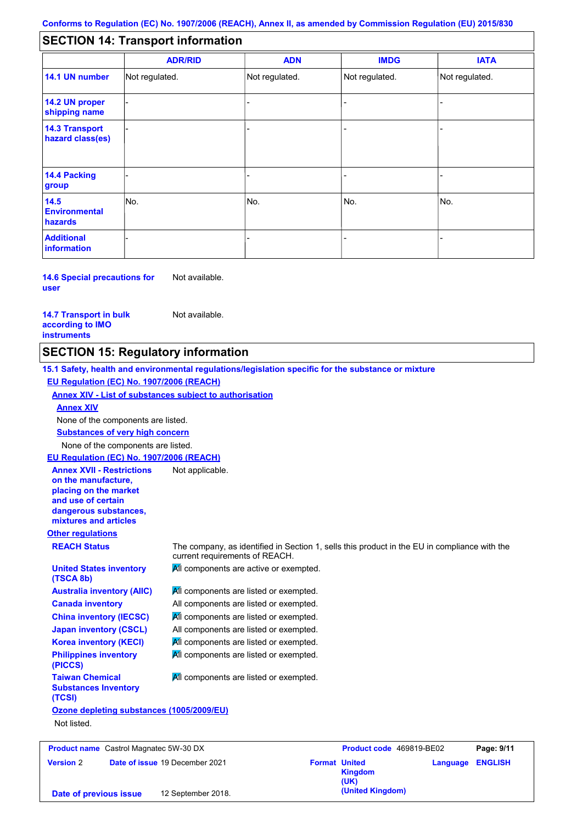#### - - - - - - - - - Not regulated. Not regulated. Not regulated. - - - **SECTION 14: Transport information ADR/RID IMDG IATA 14.1 UN number 14.2 UN proper shipping name 14.3 Transport hazard class(es) 14.4 Packing group ADN Additional information 14.5 Environmental hazards** No. 1980 | No. 1980 | No. 1980 | No. 1980 | No. 1980 | No. 1980 | No. 1980 | No. 1980 | No. 1980 | No. 1980 | Not regulated. - -<br>No. - -

**14.6 Special precautions for user** Not available.

**14.7 Transport in bulk according to IMO instruments**

Not available.

## **SECTION 15: Regulatory information**

**Other regulations REACH Status** The company, as identified in Section 1, sells this product in the EU in compliance with the current requirements of REACH. **15.1 Safety, health and environmental regulations/legislation specific for the substance or mixture EU Regulation (EC) No. 1907/2006 (REACH) Annex XIV - List of substances subject to authorisation Substances of very high concern** None of the components are listed. **All components are listed or exempted.** All components are listed or exempted. **All components are listed or exempted.** All components are listed or exempted. All components are active or exempted. **All components are listed or exempted. All components are listed or exempted. United States inventory (TSCA 8b) Australia inventory (AIIC) Canada inventory China inventory (IECSC) Japan inventory (CSCL) Korea inventory (KECI) Philippines inventory (PICCS) Taiwan Chemical Substances Inventory (TCSI) All components are listed or exempted. Ozone depleting substances (1005/2009/EU)** Not listed. None of the components are listed. **Annex XIV EU Regulation (EC) No. 1907/2006 (REACH) Annex XVII - Restrictions on the manufacture, placing on the market and use of certain dangerous substances, mixtures and articles** Not applicable.

| <b>Product name</b> Castrol Magnatec 5W-30 DX |  |                                       | Product code 469819-BE02 |                        | Page: 9/11              |  |
|-----------------------------------------------|--|---------------------------------------|--------------------------|------------------------|-------------------------|--|
| <b>Version 2</b>                              |  | <b>Date of issue 19 December 2021</b> | <b>Format United</b>     | <b>Kingdom</b><br>(UK) | <b>Language ENGLISH</b> |  |
| Date of previous issue                        |  | 12 September 2018.                    |                          | (United Kingdom)       |                         |  |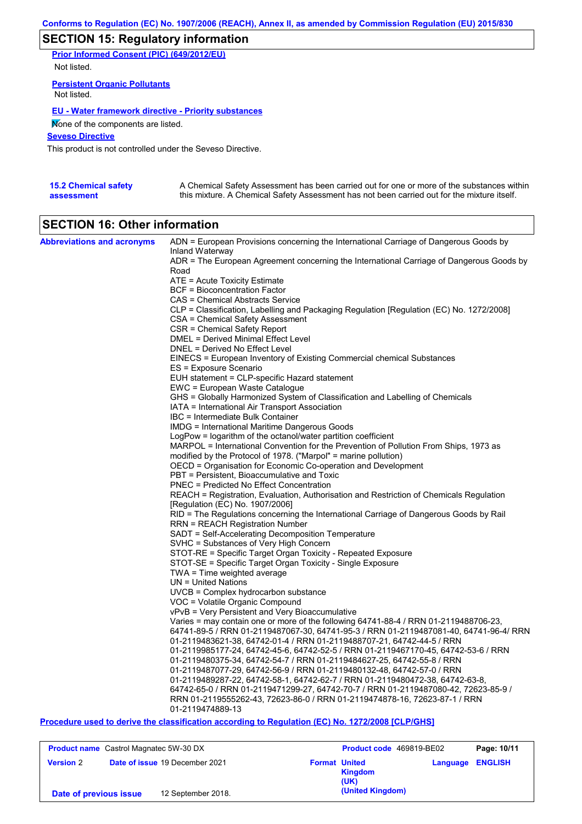# **SECTION 15: Regulatory information**

**Prior Informed Consent (PIC) (649/2012/EU)** Not listed.

**Persistent Organic Pollutants** Not listed.

### **EU - Water framework directive - Priority substances**

None of the components are listed.

**Seveso Directive**

This product is not controlled under the Seveso Directive.

| <b>15.2 Chemical safety</b> | A Chemical Safety Assessment has been carried out for one or more of the substances within  |
|-----------------------------|---------------------------------------------------------------------------------------------|
| assessment                  | this mixture. A Chemical Safety Assessment has not been carried out for the mixture itself. |

## **SECTION 16: Other information**

| <b>Abbreviations and acronyms</b> | ADN = European Provisions concerning the International Carriage of Dangerous Goods by                                                                 |
|-----------------------------------|-------------------------------------------------------------------------------------------------------------------------------------------------------|
|                                   | Inland Waterway<br>ADR = The European Agreement concerning the International Carriage of Dangerous Goods by                                           |
|                                   | Road                                                                                                                                                  |
|                                   | $ATE =$ Acute Toxicity Estimate                                                                                                                       |
|                                   | <b>BCF</b> = Bioconcentration Factor                                                                                                                  |
|                                   | CAS = Chemical Abstracts Service                                                                                                                      |
|                                   | CLP = Classification, Labelling and Packaging Regulation [Regulation (EC) No. 1272/2008]                                                              |
|                                   | CSA = Chemical Safety Assessment                                                                                                                      |
|                                   | CSR = Chemical Safety Report                                                                                                                          |
|                                   | DMEL = Derived Minimal Effect Level                                                                                                                   |
|                                   | DNEL = Derived No Effect Level                                                                                                                        |
|                                   | EINECS = European Inventory of Existing Commercial chemical Substances<br>ES = Exposure Scenario                                                      |
|                                   | EUH statement = CLP-specific Hazard statement                                                                                                         |
|                                   | EWC = European Waste Catalogue                                                                                                                        |
|                                   | GHS = Globally Harmonized System of Classification and Labelling of Chemicals                                                                         |
|                                   | IATA = International Air Transport Association                                                                                                        |
|                                   | IBC = Intermediate Bulk Container                                                                                                                     |
|                                   | <b>IMDG</b> = International Maritime Dangerous Goods                                                                                                  |
|                                   | LogPow = logarithm of the octanol/water partition coefficient                                                                                         |
|                                   | MARPOL = International Convention for the Prevention of Pollution From Ships, 1973 as                                                                 |
|                                   | modified by the Protocol of 1978. ("Marpol" = marine pollution)                                                                                       |
|                                   | OECD = Organisation for Economic Co-operation and Development                                                                                         |
|                                   | PBT = Persistent, Bioaccumulative and Toxic                                                                                                           |
|                                   | <b>PNEC = Predicted No Effect Concentration</b>                                                                                                       |
|                                   | REACH = Registration, Evaluation, Authorisation and Restriction of Chemicals Regulation                                                               |
|                                   | [Regulation (EC) No. 1907/2006]                                                                                                                       |
|                                   | RID = The Regulations concerning the International Carriage of Dangerous Goods by Rail                                                                |
|                                   | <b>RRN = REACH Registration Number</b><br>SADT = Self-Accelerating Decomposition Temperature                                                          |
|                                   | SVHC = Substances of Very High Concern                                                                                                                |
|                                   | STOT-RE = Specific Target Organ Toxicity - Repeated Exposure                                                                                          |
|                                   | STOT-SE = Specific Target Organ Toxicity - Single Exposure                                                                                            |
|                                   | $TWA = Time$ weighted average                                                                                                                         |
|                                   | $UN = United Nations$                                                                                                                                 |
|                                   | $UVCB = Complex\;hydrocarbon\; substance$                                                                                                             |
|                                   | VOC = Volatile Organic Compound                                                                                                                       |
|                                   | vPvB = Very Persistent and Very Bioaccumulative                                                                                                       |
|                                   | Varies = may contain one or more of the following $64741-88-4$ / RRN 01-2119488706-23,                                                                |
|                                   | 64741-89-5 / RRN 01-2119487067-30, 64741-95-3 / RRN 01-2119487081-40, 64741-96-4/ RRN                                                                 |
|                                   | 01-2119483621-38, 64742-01-4 / RRN 01-2119488707-21, 64742-44-5 / RRN                                                                                 |
|                                   | 01-2119985177-24, 64742-45-6, 64742-52-5 / RRN 01-2119467170-45, 64742-53-6 / RRN                                                                     |
|                                   | 01-2119480375-34, 64742-54-7 / RRN 01-2119484627-25, 64742-55-8 / RRN                                                                                 |
|                                   | 01-2119487077-29, 64742-56-9 / RRN 01-2119480132-48, 64742-57-0 / RRN<br>01-2119489287-22, 64742-58-1, 64742-62-7 / RRN 01-2119480472-38, 64742-63-8, |
|                                   | 64742-65-0 / RRN 01-2119471299-27, 64742-70-7 / RRN 01-2119487080-42, 72623-85-9 /                                                                    |
|                                   | RRN 01-2119555262-43, 72623-86-0 / RRN 01-2119474878-16, 72623-87-1 / RRN                                                                             |
|                                   | 01-2119474889-13                                                                                                                                      |
|                                   |                                                                                                                                                       |

**Procedure used to derive the classification according to Regulation (EC) No. 1272/2008 [CLP/GHS]**

| <b>Product name</b> Castrol Magnatec 5W-30 DX |                                       |                      | Product code 469819-BE02 |                         | Page: 10/11 |
|-----------------------------------------------|---------------------------------------|----------------------|--------------------------|-------------------------|-------------|
| <b>Version 2</b>                              | <b>Date of issue 19 December 2021</b> | <b>Format United</b> | Kingdom<br>(UK)          | <b>Language ENGLISH</b> |             |
| Date of previous issue                        | 12 September 2018.                    |                      | (United Kingdom)         |                         |             |